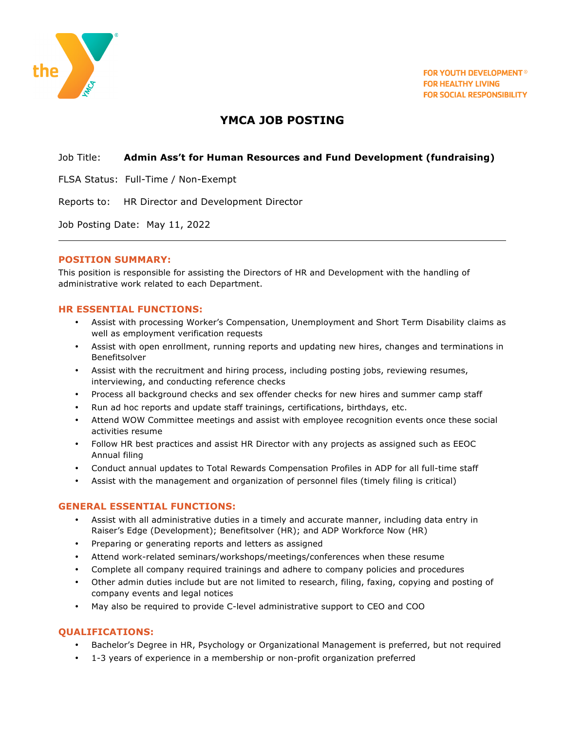

# **YMCA JOB POSTING**

#### Job Title: **Admin Ass't for Human Resources and Fund Development (fundraising)**

FLSA Status: Full-Time / Non-Exempt

Reports to: HR Director and Development Director

Job Posting Date: May 11, 2022

#### **POSITION SUMMARY:**

This position is responsible for assisting the Directors of HR and Development with the handling of administrative work related to each Department.

## **HR ESSENTIAL FUNCTIONS:**

- Assist with processing Worker's Compensation, Unemployment and Short Term Disability claims as well as employment verification requests
- Assist with open enrollment, running reports and updating new hires, changes and terminations in Benefitsolver
- Assist with the recruitment and hiring process, including posting jobs, reviewing resumes, interviewing, and conducting reference checks
- Process all background checks and sex offender checks for new hires and summer camp staff
- Run ad hoc reports and update staff trainings, certifications, birthdays, etc.
- Attend WOW Committee meetings and assist with employee recognition events once these social activities resume
- Follow HR best practices and assist HR Director with any projects as assigned such as EEOC Annual filing
- Conduct annual updates to Total Rewards Compensation Profiles in ADP for all full-time staff
- Assist with the management and organization of personnel files (timely filing is critical)

## **GENERAL ESSENTIAL FUNCTIONS:**

- Assist with all administrative duties in a timely and accurate manner, including data entry in Raiser's Edge (Development); Benefitsolver (HR); and ADP Workforce Now (HR)
- Preparing or generating reports and letters as assigned
- Attend work-related seminars/workshops/meetings/conferences when these resume
- Complete all company required trainings and adhere to company policies and procedures
- Other admin duties include but are not limited to research, filing, faxing, copying and posting of company events and legal notices
- May also be required to provide C-level administrative support to CEO and COO

## **QUALIFICATIONS:**

- Bachelor's Degree in HR, Psychology or Organizational Management is preferred, but not required
- 1-3 years of experience in a membership or non-profit organization preferred